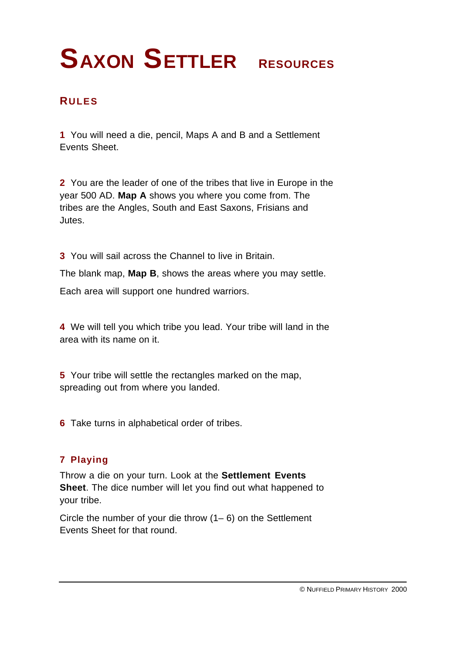## **RULES**

**1** You will need a die, pencil, Maps A and B and a Settlement Events Sheet.

**2** You are the leader of one of the tribes that live in Europe in the year 500 AD. **Map A** shows you where you come from. The tribes are the Angles, South and East Saxons, Frisians and Jutes.

**3** You will sail across the Channel to live in Britain.

The blank map, **Map B**, shows the areas where you may settle.

Each area will support one hundred warriors.

**4** We will tell you which tribe you lead. Your tribe will land in the area with its name on it.

**5** Your tribe will settle the rectangles marked on the map, spreading out from where you landed.

**6** Take turns in alphabetical order of tribes.

## **7 Playing**

Throw a die on your turn. Look at the **Settlement Events Sheet**. The dice number will let you find out what happened to your tribe.

Circle the number of your die throw (1– 6) on the Settlement Events Sheet for that round.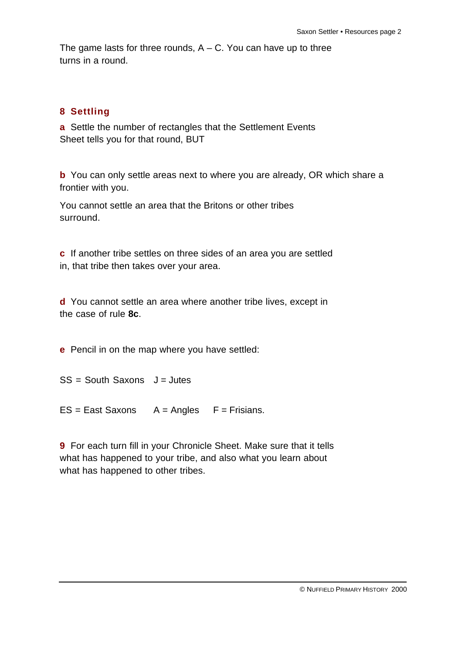The game lasts for three rounds,  $A - C$ . You can have up to three turns in a round.

## **8 Settling**

**a** Settle the number of rectangles that the Settlement Events Sheet tells you for that round, BUT

**b** You can only settle areas next to where you are already, OR which share a frontier with you.

You cannot settle an area that the Britons or other tribes surround.

**c** If another tribe settles on three sides of an area you are settled in, that tribe then takes over your area.

**d** You cannot settle an area where another tribe lives, except in the case of rule **8c**.

**e** Pencil in on the map where you have settled:

 $SS = South Saxons$   $J = Jutes$ 

 $ES = East Saxons$   $A = Angles$   $F = Frisians$ .

**9** For each turn fill in your Chronicle Sheet. Make sure that it tells what has happened to your tribe, and also what you learn about what has happened to other tribes.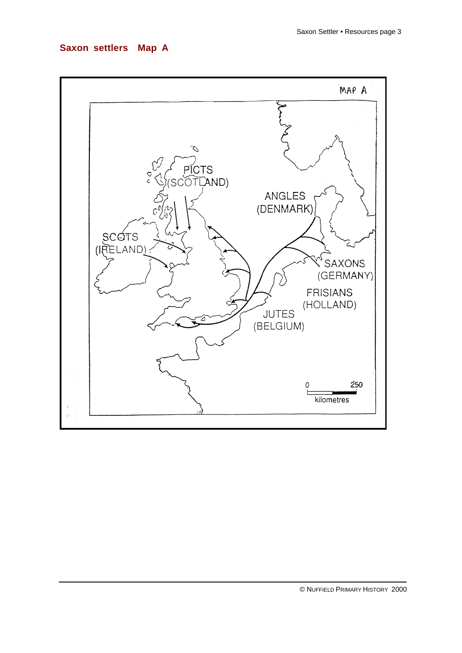### **Saxon settlers Map A**

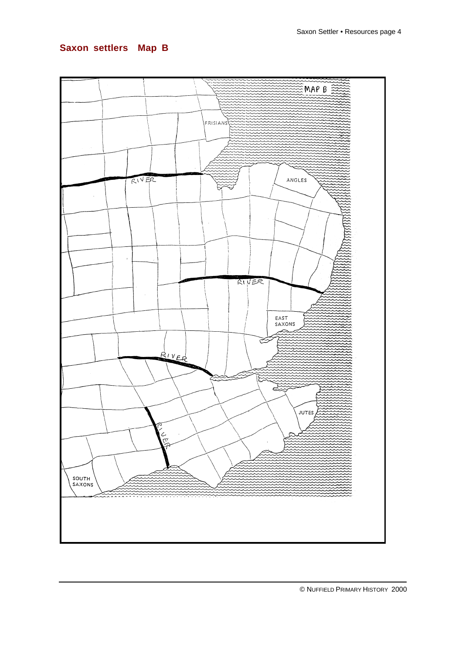## **Saxon settlers Map B**

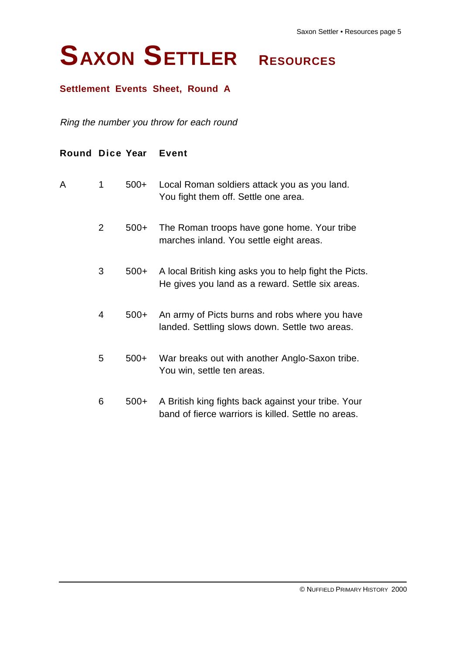## **Settlement Events Sheet, Round A**

Ring the number you throw for each round

| Round Dice Year |                |        | Event                                                                                                      |
|-----------------|----------------|--------|------------------------------------------------------------------------------------------------------------|
| A               | 1              | $500+$ | Local Roman soldiers attack you as you land.<br>You fight them off. Settle one area.                       |
|                 | $\overline{2}$ | $500+$ | The Roman troops have gone home. Your tribe<br>marches inland. You settle eight areas.                     |
|                 | 3              | $500+$ | A local British king asks you to help fight the Picts.<br>He gives you land as a reward. Settle six areas. |
|                 | 4              | $500+$ | An army of Picts burns and robs where you have<br>landed. Settling slows down. Settle two areas.           |
|                 | 5              | $500+$ | War breaks out with another Anglo-Saxon tribe.<br>You win, settle ten areas.                               |
|                 | 6              | 500+   | A British king fights back against your tribe. Your<br>band of fierce warriors is killed. Settle no areas. |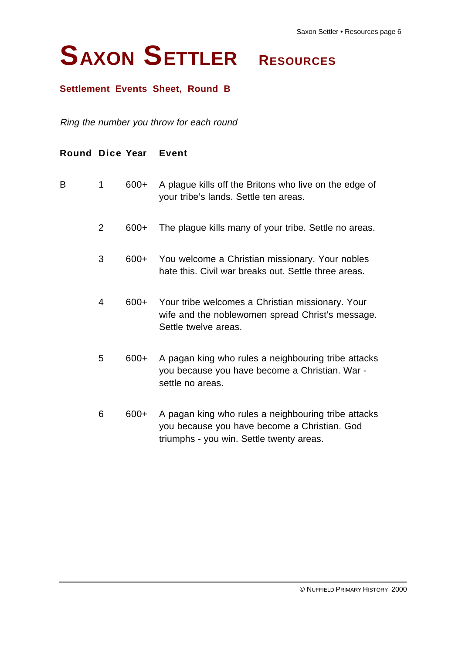## **Settlement Events Sheet, Round B**

Ring the number you throw for each round

| Round Dice Year |                |         | <b>Event</b>                                                                                                                                    |
|-----------------|----------------|---------|-------------------------------------------------------------------------------------------------------------------------------------------------|
| B               | 1              | $600+$  | A plague kills off the Britons who live on the edge of<br>your tribe's lands. Settle ten areas.                                                 |
|                 | 2              | $600+$  | The plague kills many of your tribe. Settle no areas.                                                                                           |
|                 | 3              | $600+$  | You welcome a Christian missionary. Your nobles<br>hate this. Civil war breaks out. Settle three areas.                                         |
|                 | $\overline{4}$ | $600+$  | Your tribe welcomes a Christian missionary. Your<br>wife and the noblewomen spread Christ's message.<br>Settle twelve areas.                    |
|                 | 5              | $600 +$ | A pagan king who rules a neighbouring tribe attacks<br>you because you have become a Christian. War -<br>settle no areas.                       |
|                 | 6              | $600+$  | A pagan king who rules a neighbouring tribe attacks<br>you because you have become a Christian. God<br>triumphs - you win. Settle twenty areas. |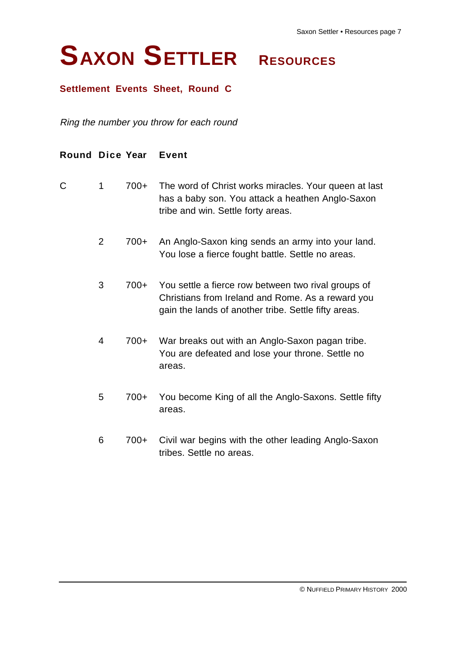### **Settlement Events Sheet, Round C**

Ring the number you throw for each round

| <b>Round Dice Year</b> |   |        | <b>Event</b>                                                                                                                                                     |
|------------------------|---|--------|------------------------------------------------------------------------------------------------------------------------------------------------------------------|
| C                      | 1 | $700+$ | The word of Christ works miracles. Your queen at last<br>has a baby son. You attack a heathen Anglo-Saxon<br>tribe and win. Settle forty areas.                  |
|                        | 2 | 700+   | An Anglo-Saxon king sends an army into your land.<br>You lose a fierce fought battle. Settle no areas.                                                           |
|                        | 3 | $700+$ | You settle a fierce row between two rival groups of<br>Christians from Ireland and Rome. As a reward you<br>gain the lands of another tribe. Settle fifty areas. |
|                        | 4 | 700+   | War breaks out with an Anglo-Saxon pagan tribe.<br>You are defeated and lose your throne. Settle no<br>areas.                                                    |
|                        | 5 | $700+$ | You become King of all the Anglo-Saxons. Settle fifty<br>areas.                                                                                                  |
|                        | 6 | 700+   | Civil war begins with the other leading Anglo-Saxon<br>tribes. Settle no areas.                                                                                  |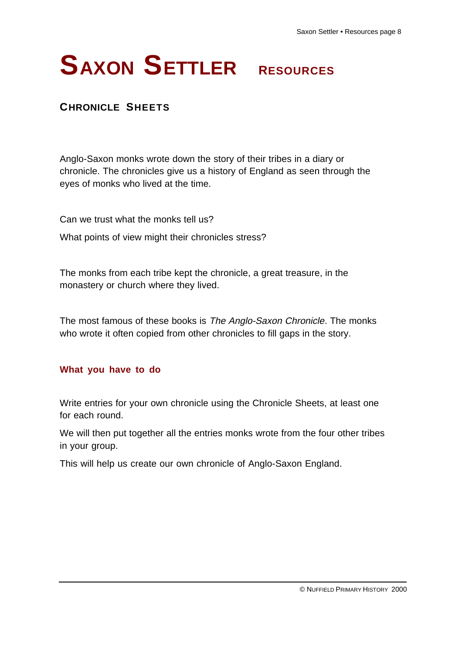## **CHRONICLE SHEETS**

Anglo-Saxon monks wrote down the story of their tribes in a diary or chronicle. The chronicles give us a history of England as seen through the eyes of monks who lived at the time.

Can we trust what the monks tell us? What points of view might their chronicles stress?

The monks from each tribe kept the chronicle, a great treasure, in the monastery or church where they lived.

The most famous of these books is The Anglo-Saxon Chronicle. The monks who wrote it often copied from other chronicles to fill gaps in the story.

### **What you have to do**

Write entries for your own chronicle using the Chronicle Sheets, at least one for each round.

We will then put together all the entries monks wrote from the four other tribes in your group.

This will help us create our own chronicle of Anglo-Saxon England.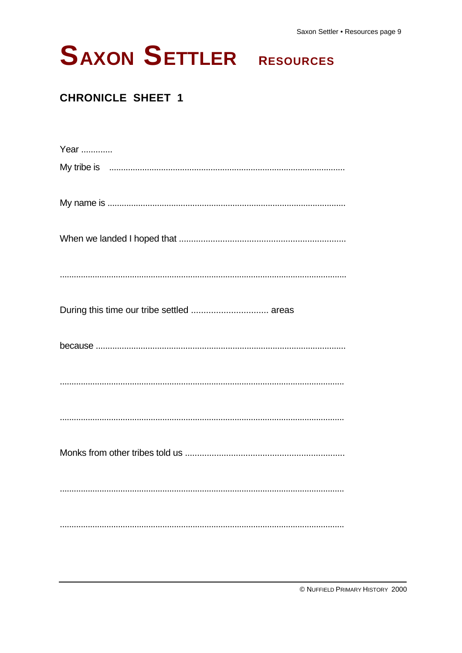| Year                                                                                                                                                                                                                           |
|--------------------------------------------------------------------------------------------------------------------------------------------------------------------------------------------------------------------------------|
| My tribe is manufactured in the state of the state of the state of the state of the state of the state of the state of the state of the state of the state of the state of the state of the state of the state of the state of |
|                                                                                                                                                                                                                                |
|                                                                                                                                                                                                                                |
|                                                                                                                                                                                                                                |
| During this time our tribe settled  areas                                                                                                                                                                                      |
|                                                                                                                                                                                                                                |
|                                                                                                                                                                                                                                |
|                                                                                                                                                                                                                                |
|                                                                                                                                                                                                                                |
|                                                                                                                                                                                                                                |
|                                                                                                                                                                                                                                |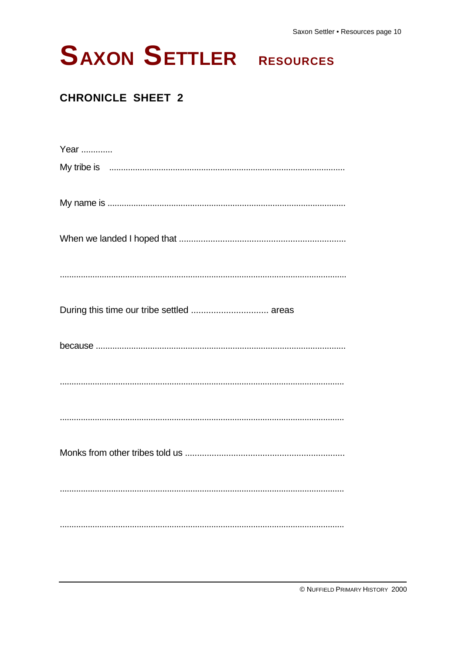Saxon Settler . Resources page 10

# **SAXON SETTLER RESOURCES**

| Year                                                                                                            |
|-----------------------------------------------------------------------------------------------------------------|
| My tribe is manufactured in the control of the state of the state of the state of the state of the state of the |
|                                                                                                                 |
|                                                                                                                 |
|                                                                                                                 |
| During this time our tribe settled  areas                                                                       |
|                                                                                                                 |
|                                                                                                                 |
|                                                                                                                 |
|                                                                                                                 |
|                                                                                                                 |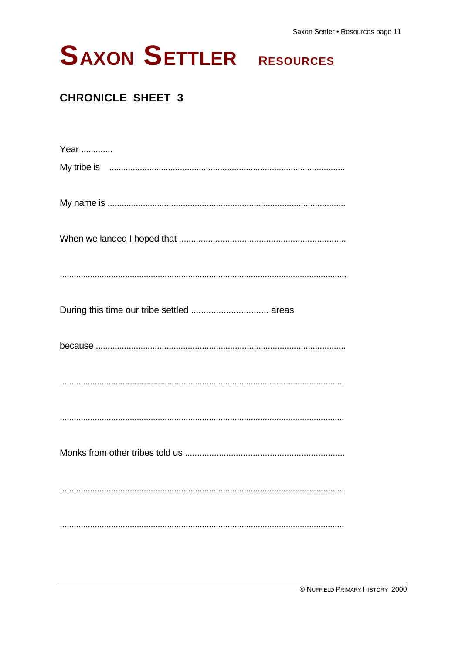| Year                                                                                                          |
|---------------------------------------------------------------------------------------------------------------|
| My tribe is manufactured in the state of the state of the state of the state of the state of the state of the |
|                                                                                                               |
|                                                                                                               |
|                                                                                                               |
| During this time our tribe settled  areas                                                                     |
|                                                                                                               |
|                                                                                                               |
|                                                                                                               |
|                                                                                                               |
|                                                                                                               |
|                                                                                                               |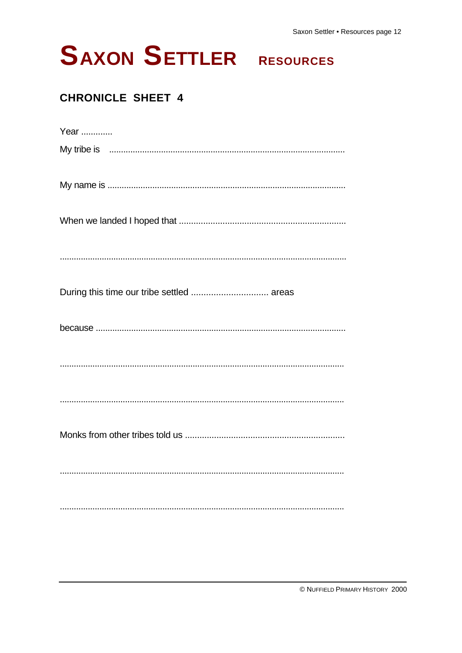

| Year                                                                                                                                                                                                                           |
|--------------------------------------------------------------------------------------------------------------------------------------------------------------------------------------------------------------------------------|
| My tribe is must be recommunicated and the state of the state of the state of the state of the state of the state of the state of the state of the state of the state of the state of the state of the state of the state of t |
|                                                                                                                                                                                                                                |
|                                                                                                                                                                                                                                |
|                                                                                                                                                                                                                                |
|                                                                                                                                                                                                                                |
|                                                                                                                                                                                                                                |
|                                                                                                                                                                                                                                |
|                                                                                                                                                                                                                                |
|                                                                                                                                                                                                                                |
|                                                                                                                                                                                                                                |
|                                                                                                                                                                                                                                |